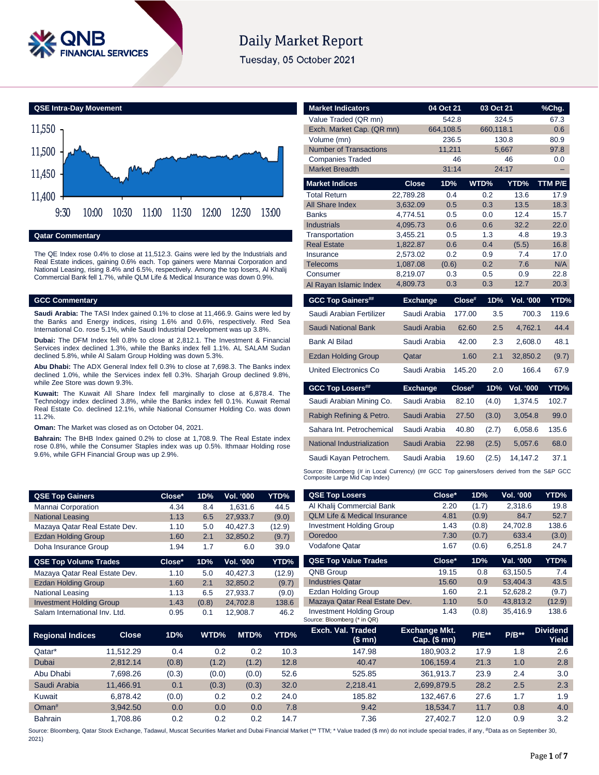

# **Daily Market Report**

Tuesday, 05 October 2021



### **Qatar Commentary**

The QE Index rose 0.4% to close at 11,512.3. Gains were led by the Industrials and Real Estate indices, gaining 0.6% each. Top gainers were Mannai Corporation and National Leasing, rising 8.4% and 6.5%, respectively. Among the top losers, Al Khalij Commercial Bank fell 1.7%, while QLM Life & Medical Insurance was down 0.9%.

### **GCC Commentary**

**Saudi Arabia:** The TASI Index gained 0.1% to close at 11,466.9. Gains were led by the Banks and Energy indices, rising 1.6% and 0.6%, respectively. Red Sea International Co. rose 5.1%, while Saudi Industrial Development was up 3.8%.

**Dubai:** The DFM Index fell 0.8% to close at 2,812.1. The Investment & Financial Services index declined 1.3%, while the Banks index fell 1.1%. AL SALAM Sudan declined 5.8%, while Al Salam Group Holding was down 5.3%.

**Abu Dhabi:** The ADX General Index fell 0.3% to close at 7,698.3. The Banks index declined 1.0%, while the Services index fell 0.3%. Sharjah Group declined 9.8%, while Zee Store was down 9.3%.

**Kuwait:** The Kuwait All Share Index fell marginally to close at 6,878.4. The Technology index declined 3.8%, while the Banks index fell 0.1%. Kuwait Remal Real Estate Co. declined 12.1%, while National Consumer Holding Co. was down 11.2%.

**Oman:** The Market was closed as on October 04, 2021.

**Bahrain:** The BHB Index gained 0.2% to close at 1,708.9. The Real Estate index rose 0.8%, while the Consumer Staples index was up 0.5%. Ithmaar Holding rose 9.6%, while GFH Financial Group was up 2.9%.

Source: Bloomberg (# in Local Currency) (## GCC Top gainers/losers derived from the S&P GCC Composite Large Mid Cap Index)

| <b>QSE Top Gainers</b>          | Close* | 1D%   | Vol. '000        | YTD%   |
|---------------------------------|--------|-------|------------------|--------|
| Mannai Corporation              | 4.34   | 8.4   | 1.631.6          | 44.5   |
| <b>National Leasing</b>         | 1.13   | 6.5   | 27,933.7         | (9.0)  |
| Mazaya Qatar Real Estate Dev.   | 1.10   | 5.0   | 40,427.3         | (12.9) |
| <b>Ezdan Holding Group</b>      | 1.60   | 2.1   | 32,850.2         | (9.7)  |
| Doha Insurance Group            | 1.94   | 1.7   | 6.0              | 39.0   |
|                                 |        |       |                  |        |
| <b>QSE Top Volume Trades</b>    | Close* | 1D%   | <b>Vol. '000</b> | YTD%   |
| Mazaya Qatar Real Estate Dev.   | 1.10   | 5.0   | 40.427.3         | (12.9) |
| <b>Ezdan Holding Group</b>      | 1.60   | 2.1   | 32.850.2         | (9.7)  |
| <b>National Leasing</b>         | 1.13   | 6.5   | 27.933.7         | (9.0)  |
| <b>Investment Holding Group</b> | 1.43   | (0.8) | 24.702.8         | 138.6  |

|                                                                                                     | Close* | 1D%   | Vol. '000 | YTD%                                                                          | <b>QSE Top Losers</b>            | Close*                                   | 1D%                                                                      | Vol. '000 | YTD%                     |
|-----------------------------------------------------------------------------------------------------|--------|-------|-----------|-------------------------------------------------------------------------------|----------------------------------|------------------------------------------|--------------------------------------------------------------------------|-----------|--------------------------|
|                                                                                                     | 4.34   | 8.4   | 1,631.6   | 44.5                                                                          | Al Khalij Commercial Bank        | 2.20                                     | (1.7)                                                                    | 2,318.6   | 19.8                     |
|                                                                                                     | 1.13   | 6.5   | 27,933.7  | (9.0)                                                                         |                                  | 4.81                                     | (0.9)                                                                    | 84.7      | 52.7                     |
| Mazaya Qatar Real Estate Dev.                                                                       | 1.10   | 5.0   | 40,427.3  | (12.9)                                                                        | <b>Investment Holding Group</b>  | 1.43                                     | (0.8)                                                                    | 24,702.8  | 138.6                    |
| <b>Ezdan Holding Group</b>                                                                          | 1.60   | 2.1   | 32,850.2  | (9.7)                                                                         | Ooredoo                          | 7.30                                     | (0.7)                                                                    | 633.4     | (3.0)                    |
| Doha Insurance Group                                                                                | 1.94   | 1.7   | 6.0       | 39.0                                                                          | <b>Vodafone Qatar</b>            | 1.67                                     | (0.6)                                                                    | 6,251.8   | 24.7                     |
| <b>QSE Top Volume Trades</b>                                                                        | Close* | 1D%   | Vol. '000 | YTD%                                                                          | <b>QSE Top Value Trades</b>      | Close*                                   | 1D%                                                                      |           | YTD%                     |
| Mazaya Qatar Real Estate Dev.                                                                       | 1.10   | 5.0   | 40,427.3  | (12.9)                                                                        | <b>QNB Group</b>                 | 19.15                                    | 0.8                                                                      | 63,150.5  | 7.4                      |
| <b>Ezdan Holding Group</b>                                                                          | 1.60   | 2.1   | 32,850.2  | (9.7)                                                                         | <b>Industries Qatar</b>          | 15.60                                    | 0.9                                                                      | 53,404.3  | 43.5                     |
|                                                                                                     | 1.13   | 6.5   | 27,933.7  | (9.0)                                                                         | <b>Ezdan Holding Group</b>       | 1.60                                     | 2.1                                                                      |           | (9.7)                    |
| <b>Investment Holding Group</b>                                                                     | 1.43   | (0.8) | 24,702.8  | 138.6                                                                         |                                  | 1.10                                     | 5.0                                                                      | 43,813.2  | (12.9)                   |
| <b>Investment Holding Group</b><br>Salam International Inv. Ltd.<br>0.95<br>0.1<br>12,908.7<br>46.2 |        | 1.43  | (0.8)     | 35,416.9                                                                      | 138.6                            |                                          |                                                                          |           |                          |
| <b>Close</b>                                                                                        | 1D%    |       |           | YTD%                                                                          | Exch. Val. Traded<br>(\$mn)      | <b>Exchange Mkt.</b><br>Cap. $($$ mn $)$ | $P/E**$                                                                  | $P/B**$   | <b>Dividend</b><br>Yield |
| 11,512.29                                                                                           | 0.4    |       |           | 10.3                                                                          | 147.98                           | 180,903.2                                | 17.9                                                                     | 1.8       | 2.6                      |
| 2,812.14                                                                                            | (0.8)  |       | (1.2)     | 12.8                                                                          | 40.47                            | 106,159.4                                | 21.3                                                                     | 1.0       | 2.8                      |
| 7,698.26                                                                                            | (0.3)  |       |           | 52.6                                                                          | 525.85                           | 361,913.7                                | 23.9                                                                     | 2.4       | 3.0                      |
| 11,466.91                                                                                           | 0.1    |       |           | 32.0                                                                          | 2,218.41                         | 2,699,879.5                              | 28.2                                                                     | 2.5       | 2.3                      |
| 6,878.42                                                                                            | (0.0)  |       |           | 24.0                                                                          | 185.82                           | 132,467.6                                | 27.6                                                                     | 1.7       | 1.9                      |
| 3,942.50                                                                                            | 0.0    |       |           | 7.8                                                                           | 9.42                             | 18,534.7                                 | 11.7                                                                     | 0.8       | 4.0                      |
| 1,708.86                                                                                            | 0.2    |       |           | 14.7                                                                          | 7.36                             | 27,402.7                                 | 12.0                                                                     | 0.9       | 3.2                      |
|                                                                                                     |        |       |           | WTD%<br>0.2<br>(1.2)<br>(0.0)<br>(0.0)<br>(0.3)<br>(0.3)<br>0.2<br>0.0<br>0.2 | MTD%<br>0.2<br>0.2<br>0.0<br>0.2 | Source: Bloomberg (* in QR)              | <b>QLM Life &amp; Medical Insurance</b><br>Mazaya Qatar Real Estate Dev. |           | Val. '000<br>52,628.2    |

Source: Bloomberg, Qatar Stock Exchange, Tadawul, Muscat Securities Market and Dubai Financial Market (\*\* TTM; \* Value traded (\$ mn) do not include special trades, if any, #Data as on September 30, 2021)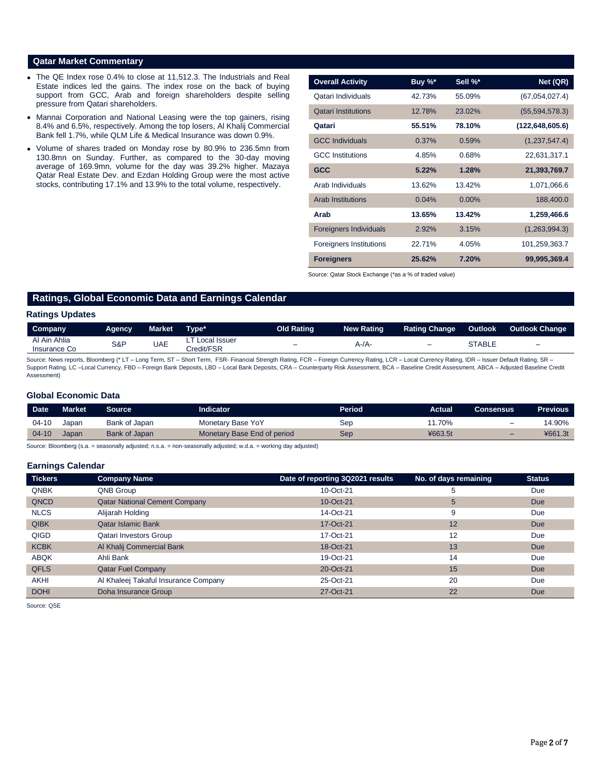#### **Qatar Market Commentary**

- The QE Index rose 0.4% to close at 11,512.3. The Industrials and Real Estate indices led the gains. The index rose on the back of buying support from GCC, Arab and foreign shareholders despite selling pressure from Qatari shareholders.
- Mannai Corporation and National Leasing were the top gainers, rising 8.4% and 6.5%, respectively. Among the top losers, Al Khalij Commercial Bank fell 1.7%, while QLM Life & Medical Insurance was down 0.9%.
- Volume of shares traded on Monday rose by 80.9% to 236.5mn from 130.8mn on Sunday. Further, as compared to the 30-day moving average of 169.9mn, volume for the day was 39.2% higher. Mazaya Qatar Real Estate Dev. and Ezdan Holding Group were the most active stocks, contributing 17.1% and 13.9% to the total volume, respectively.

| <b>Overall Activity</b>        | Buy $\%^*$ | Sell %*  | Net (QR)          |
|--------------------------------|------------|----------|-------------------|
| Qatari Individuals             | 42.73%     | 55.09%   | (67,054,027.4)    |
| <b>Oatari Institutions</b>     | 12.78%     | 23.02%   | (55,594,578.3)    |
| Qatari                         | 55.51%     | 78.10%   | (122, 648, 605.6) |
| <b>GCC Individuals</b>         | 0.37%      | 0.59%    | (1,237,547.4)     |
| <b>GCC</b> Institutions        | 4.85%      | 0.68%    | 22,631,317.1      |
| <b>GCC</b>                     | 5.22%      | 1.28%    | 21,393,769.7      |
| Arab Individuals               | 13.62%     | 13.42%   | 1,071,066.6       |
| <b>Arab Institutions</b>       | 0.04%      | $0.00\%$ | 188,400.0         |
| Arab                           | 13.65%     | 13.42%   | 1,259,466.6       |
| <b>Foreigners Individuals</b>  | 2.92%      | 3.15%    | (1,263,994.3)     |
| <b>Foreigners Institutions</b> | 22.71%     | 4.05%    | 101,259,363.7     |
| <b>Foreigners</b>              | 25.62%     | 7.20%    | 99,995,369.4      |

Source: Qatar Stock Exchange (\*as a % of traded value)

### **Ratings, Global Economic Data and Earnings Calendar**

#### **Ratings Updates**

| Company                      | <b>Agency</b> | Market. | Tvpe*                      | <b>Old Rating</b> | <b>New Rating</b> | <b>Rating Change</b> | <b>Outlook</b> | <b>Outlook Change</b>    |
|------------------------------|---------------|---------|----------------------------|-------------------|-------------------|----------------------|----------------|--------------------------|
| Al Ain Ahlia<br>Insurance Co | S&P           | UAE     | Local Issuer<br>Credit/FSR | -                 | A-/A·             | -                    | STABLE         | $\overline{\phantom{0}}$ |

Source: News reports, Bloomberg (\* LT – Long Term, ST – Short Term, FSR- Financial Strength Rating, FCR – Foreign Currency Rating, LCR – Local Currency Rating, IDR – Issuer Default Rating, SR – Support Rating, LC -Local Currency, FBD - Foreign Bank Deposits, LBD - Local Bank Deposits, CRA - Counterparty Risk Assessment, BCA - Baseline Credit Assessment, ABCA - Adjusted Baseline Credit Assessment)

#### **Global Economic Data**

| Date <sup>1</sup> | Market | Source'       | <b>Indicator</b>            | Period | Actual  | Consensus       | Previous |
|-------------------|--------|---------------|-----------------------------|--------|---------|-----------------|----------|
| $04-10$           | Japan  | Bank of Japan | Monetary Base YoY           | Ser    | 11.70%  | $\qquad \qquad$ | 14.90%   |
| $04-10$           | Japan  | Bank of Japan | Monetary Base End of period | Sep    | ¥663.5t | $-$             | ¥661.3t  |
|                   |        |               |                             |        |         |                 |          |

Source: Bloomberg (s.a. = seasonally adjusted; n.s.a. = non-seasonally adjusted; w.d.a. = working day adjusted)

#### **Earnings Calendar**

| <b>Tickers</b> | <b>Company Name</b>                  | Date of reporting 3Q2021 results | No. of days remaining | <b>Status</b> |
|----------------|--------------------------------------|----------------------------------|-----------------------|---------------|
| <b>QNBK</b>    | QNB Group                            | 10-Oct-21                        | 5                     | Due           |
| QNCD           | <b>Qatar National Cement Company</b> | 10-Oct-21                        | 5                     | <b>Due</b>    |
| <b>NLCS</b>    | Alijarah Holding                     | 14-Oct-21                        | 9                     | Due           |
| <b>QIBK</b>    | <b>Qatar Islamic Bank</b>            | 17-Oct-21                        | 12                    | <b>Due</b>    |
| QIGD           | <b>Qatari Investors Group</b>        | 17-Oct-21                        | 12                    | Due           |
| <b>KCBK</b>    | Al Khalij Commercial Bank            | 18-Oct-21                        | 13                    | <b>Due</b>    |
| <b>ABQK</b>    | Ahli Bank                            | 19-Oct-21                        | 14                    | <b>Due</b>    |
| <b>QFLS</b>    | <b>Qatar Fuel Company</b>            | 20-Oct-21                        | 15                    | <b>Due</b>    |
| AKHI           | Al Khaleej Takaful Insurance Company | 25-Oct-21                        | 20                    | Due           |
| <b>DOHI</b>    | Doha Insurance Group                 | 27-Oct-21                        | 22                    | <b>Due</b>    |

Source: QSE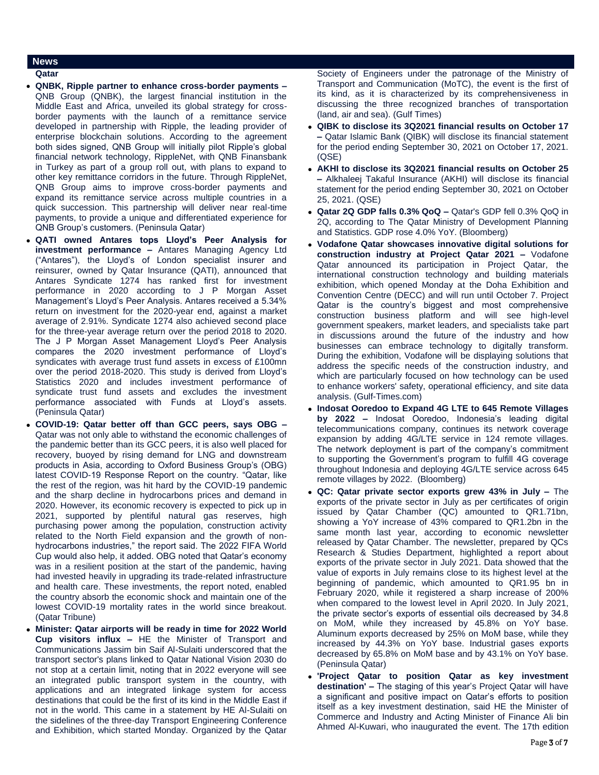#### **News**

#### **Qatar**

- **QNBK, Ripple partner to enhance cross-border payments –** QNB Group (QNBK), the largest financial institution in the Middle East and Africa, unveiled its global strategy for crossborder payments with the launch of a remittance service developed in partnership with Ripple, the leading provider of enterprise blockchain solutions. According to the agreement both sides signed, QNB Group will initially pilot Ripple's global financial network technology, RippleNet, with QNB Finansbank in Turkey as part of a group roll out, with plans to expand to other key remittance corridors in the future. Through RippleNet, QNB Group aims to improve cross-border payments and expand its remittance service across multiple countries in a quick succession. This partnership will deliver near real-time payments, to provide a unique and differentiated experience for QNB Group's customers. (Peninsula Qatar)
- **QATI owned Antares tops Lloyd's Peer Analysis for investment performance –** Antares Managing Agency Ltd ("Antares"), the Lloyd's of London specialist insurer and reinsurer, owned by Qatar Insurance (QATI), announced that Antares Syndicate 1274 has ranked first for investment performance in 2020 according to J P Morgan Asset Management's Lloyd's Peer Analysis. Antares received a 5.34% return on investment for the 2020-year end, against a market average of 2.91%. Syndicate 1274 also achieved second place for the three-year average return over the period 2018 to 2020. The J P Morgan Asset Management Lloyd's Peer Analysis compares the 2020 investment performance of Lloyd's syndicates with average trust fund assets in excess of £100mn over the period 2018-2020. This study is derived from Lloyd's Statistics 2020 and includes investment performance of syndicate trust fund assets and excludes the investment performance associated with Funds at Lloyd's assets. (Peninsula Qatar)
- **COVID-19: Qatar better off than GCC peers, says OBG –** Qatar was not only able to withstand the economic challenges of the pandemic better than its GCC peers, it is also well placed for recovery, buoyed by rising demand for LNG and downstream products in Asia, according to Oxford Business Group's (OBG) latest COVID-19 Response Report on the country. "Qatar, like the rest of the region, was hit hard by the COVID-19 pandemic and the sharp decline in hydrocarbons prices and demand in 2020. However, its economic recovery is expected to pick up in 2021, supported by plentiful natural gas reserves, high purchasing power among the population, construction activity related to the North Field expansion and the growth of nonhydrocarbons industries," the report said. The 2022 FIFA World Cup would also help, it added. OBG noted that Qatar's economy was in a resilient position at the start of the pandemic, having had invested heavily in upgrading its trade-related infrastructure and health care. These investments, the report noted, enabled the country absorb the economic shock and maintain one of the lowest COVID-19 mortality rates in the world since breakout. (Qatar Tribune)
- **Minister: Qatar airports will be ready in time for 2022 World Cup visitors influx –** HE the Minister of Transport and Communications Jassim bin Saif Al-Sulaiti underscored that the transport sector's plans linked to Qatar National Vision 2030 do not stop at a certain limit, noting that in 2022 everyone will see an integrated public transport system in the country, with applications and an integrated linkage system for access destinations that could be the first of its kind in the Middle East if not in the world. This came in a statement by HE Al-Sulaiti on the sidelines of the three-day Transport Engineering Conference and Exhibition, which started Monday. Organized by the Qatar

Society of Engineers under the patronage of the Ministry of Transport and Communication (MoTC), the event is the first of its kind, as it is characterized by its comprehensiveness in discussing the three recognized branches of transportation (land, air and sea). (Gulf Times)

- **QIBK to disclose its 3Q2021 financial results on October 17 –** Qatar Islamic Bank (QIBK) will disclose its financial statement for the period ending September 30, 2021 on October 17, 2021. (QSE)
- **AKHI to disclose its 3Q2021 financial results on October 25 –** Alkhaleej Takaful Insurance (AKHI) will disclose its financial statement for the period ending September 30, 2021 on October 25, 2021. (QSE)
- **Qatar 2Q GDP falls 0.3% QoQ –** Qatar's GDP fell 0.3% QoQ in 2Q, according to The Qatar Ministry of Development Planning and Statistics. GDP rose 4.0% YoY. (Bloomberg)
- **Vodafone Qatar showcases innovative digital solutions for construction industry at Project Qatar 2021 –** Vodafone Qatar announced its participation in Project Qatar, the international construction technology and building materials exhibition, which opened Monday at the Doha Exhibition and Convention Centre (DECC) and will run until October 7. Project Qatar is the country's biggest and most comprehensive construction business platform and will see high-level government speakers, market leaders, and specialists take part in discussions around the future of the industry and how businesses can embrace technology to digitally transform. During the exhibition, Vodafone will be displaying solutions that address the specific needs of the construction industry, and which are particularly focused on how technology can be used to enhance workers' safety, operational efficiency, and site data analysis. (Gulf-Times.com)
- **Indosat Ooredoo to Expand 4G LTE to 645 Remote Villages by 2022 –** Indosat Ooredoo, Indonesia's leading digital telecommunications company, continues its network coverage expansion by adding 4G/LTE service in 124 remote villages. The network deployment is part of the company's commitment to supporting the Government's program to fulfill 4G coverage throughout Indonesia and deploying 4G/LTE service across 645 remote villages by 2022. (Bloomberg)
- **QC: Qatar private sector exports grew 43% in July –** The exports of the private sector in July as per certificates of origin issued by Qatar Chamber (QC) amounted to QR1.71bn, showing a YoY increase of 43% compared to QR1.2bn in the same month last year, according to economic newsletter released by Qatar Chamber. The newsletter, prepared by QCs Research & Studies Department, highlighted a report about exports of the private sector in July 2021. Data showed that the value of exports in July remains close to its highest level at the beginning of pandemic, which amounted to QR1.95 bn in February 2020, while it registered a sharp increase of 200% when compared to the lowest level in April 2020. In July 2021, the private sector's exports of essential oils decreased by 34.8 on MoM, while they increased by 45.8% on YoY base. Aluminum exports decreased by 25% on MoM base, while they increased by 44.3% on YoY base. Industrial gases exports decreased by 65.8% on MoM base and by 43.1% on YoY base. (Peninsula Qatar)
- **'Project Qatar to position Qatar as key investment destination' –** The staging of this year's Project Qatar will have a significant and positive impact on Qatar's efforts to position itself as a key investment destination, said HE the Minister of Commerce and Industry and Acting Minister of Finance Ali bin Ahmed Al-Kuwari, who inaugurated the event. The 17th edition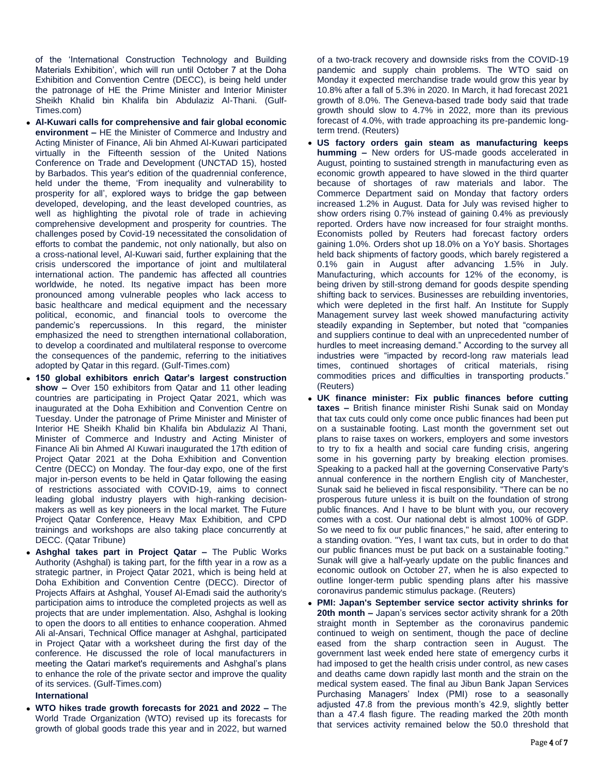of the 'International Construction Technology and Building Materials Exhibition', which will run until October 7 at the Doha Exhibition and Convention Centre (DECC), is being held under the patronage of HE the Prime Minister and Interior Minister Sheikh Khalid bin Khalifa bin Abdulaziz Al-Thani. (Gulf-Times.com)

- **Al-Kuwari calls for comprehensive and fair global economic environment –** HE the Minister of Commerce and Industry and Acting Minister of Finance, Ali bin Ahmed Al-Kuwari participated virtually in the Fifteenth session of the United Nations Conference on Trade and Development (UNCTAD 15), hosted by Barbados. This year's edition of the quadrennial conference, held under the theme, 'From inequality and vulnerability to prosperity for all', explored ways to bridge the gap between developed, developing, and the least developed countries, as well as highlighting the pivotal role of trade in achieving comprehensive development and prosperity for countries. The challenges posed by Covid-19 necessitated the consolidation of efforts to combat the pandemic, not only nationally, but also on a cross-national level, Al-Kuwari said, further explaining that the crisis underscored the importance of joint and multilateral international action. The pandemic has affected all countries worldwide, he noted. Its negative impact has been more pronounced among vulnerable peoples who lack access to basic healthcare and medical equipment and the necessary political, economic, and financial tools to overcome the pandemic's repercussions. In this regard, the minister emphasized the need to strengthen international collaboration, to develop a coordinated and multilateral response to overcome the consequences of the pandemic, referring to the initiatives adopted by Qatar in this regard. (Gulf-Times.com)
- **150 global exhibitors enrich Qatar's largest construction show –** Over 150 exhibitors from Qatar and 11 other leading countries are participating in Project Qatar 2021, which was inaugurated at the Doha Exhibition and Convention Centre on Tuesday. Under the patronage of Prime Minister and Minister of Interior HE Sheikh Khalid bin Khalifa bin Abdulaziz Al Thani, Minister of Commerce and Industry and Acting Minister of Finance Ali bin Ahmed Al Kuwari inaugurated the 17th edition of Project Qatar 2021 at the Doha Exhibition and Convention Centre (DECC) on Monday. The four-day expo, one of the first major in-person events to be held in Qatar following the easing of restrictions associated with COVID-19, aims to connect leading global industry players with high-ranking decisionmakers as well as key pioneers in the local market. The Future Project Qatar Conference, Heavy Max Exhibition, and CPD trainings and workshops are also taking place concurrently at DECC. (Qatar Tribune)
- **Ashghal takes part in Project Qatar –** The Public Works Authority (Ashghal) is taking part, for the fifth year in a row as a strategic partner, in Project Qatar 2021, which is being held at Doha Exhibition and Convention Centre (DECC). Director of Projects Affairs at Ashghal, Yousef Al-Emadi said the authority's participation aims to introduce the completed projects as well as projects that are under implementation. Also, Ashghal is looking to open the doors to all entities to enhance cooperation. Ahmed Ali al-Ansari, Technical Office manager at Ashghal, participated in Project Qatar with a worksheet during the first day of the conference. He discussed the role of local manufacturers in meeting the Qatari market's requirements and Ashghal's plans to enhance the role of the private sector and improve the quality of its services. (Gulf-Times.com)

#### **International**

 **WTO hikes trade growth forecasts for 2021 and 2022 –** The World Trade Organization (WTO) revised up its forecasts for growth of global goods trade this year and in 2022, but warned of a two-track recovery and downside risks from the COVID-19 pandemic and supply chain problems. The WTO said on Monday it expected merchandise trade would grow this year by 10.8% after a fall of 5.3% in 2020. In March, it had forecast 2021 growth of 8.0%. The Geneva-based trade body said that trade growth should slow to 4.7% in 2022, more than its previous forecast of 4.0%, with trade approaching its pre-pandemic longterm trend. (Reuters)

- **US factory orders gain steam as manufacturing keeps humming –** New orders for US-made goods accelerated in August, pointing to sustained strength in manufacturing even as economic growth appeared to have slowed in the third quarter because of shortages of raw materials and labor. The Commerce Department said on Monday that factory orders increased 1.2% in August. Data for July was revised higher to show orders rising 0.7% instead of gaining 0.4% as previously reported. Orders have now increased for four straight months. Economists polled by Reuters had forecast factory orders gaining 1.0%. Orders shot up 18.0% on a YoY basis. Shortages held back shipments of factory goods, which barely registered a 0.1% gain in August after advancing 1.5% in July. Manufacturing, which accounts for 12% of the economy, is being driven by still-strong demand for goods despite spending shifting back to services. Businesses are rebuilding inventories, which were depleted in the first half. An Institute for Supply Management survey last week showed manufacturing activity steadily expanding in September, but noted that "companies and suppliers continue to deal with an unprecedented number of hurdles to meet increasing demand." According to the survey all industries were "impacted by record-long raw materials lead times, continued shortages of critical materials, rising commodities prices and difficulties in transporting products." (Reuters)
- **UK finance minister: Fix public finances before cutting taxes –** British finance minister Rishi Sunak said on Monday that tax cuts could only come once public finances had been put on a sustainable footing. Last month the government set out plans to raise taxes on workers, employers and some investors to try to fix a health and social care funding crisis, angering some in his governing party by breaking election promises. Speaking to a packed hall at the governing Conservative Party's annual conference in the northern English city of Manchester, Sunak said he believed in fiscal responsibility. "There can be no prosperous future unless it is built on the foundation of strong public finances. And I have to be blunt with you, our recovery comes with a cost. Our national debt is almost 100% of GDP. So we need to fix our public finances," he said, after entering to a standing ovation. "Yes, I want tax cuts, but in order to do that our public finances must be put back on a sustainable footing." Sunak will give a half-yearly update on the public finances and economic outlook on October 27, when he is also expected to outline longer-term public spending plans after his massive coronavirus pandemic stimulus package. (Reuters)
- **PMI: Japan's September service sector activity shrinks for 20th month –** Japan's services sector activity shrank for a 20th straight month in September as the coronavirus pandemic continued to weigh on sentiment, though the pace of decline eased from the sharp contraction seen in August. The government last week ended here state of emergency curbs it had imposed to get the health crisis under control, as new cases and deaths came down rapidly last month and the strain on the medical system eased. The final au Jibun Bank Japan Services Purchasing Managers' Index (PMI) rose to a seasonally adjusted 47.8 from the previous month's 42.9, slightly better than a 47.4 flash figure. The reading marked the 20th month that services activity remained below the 50.0 threshold that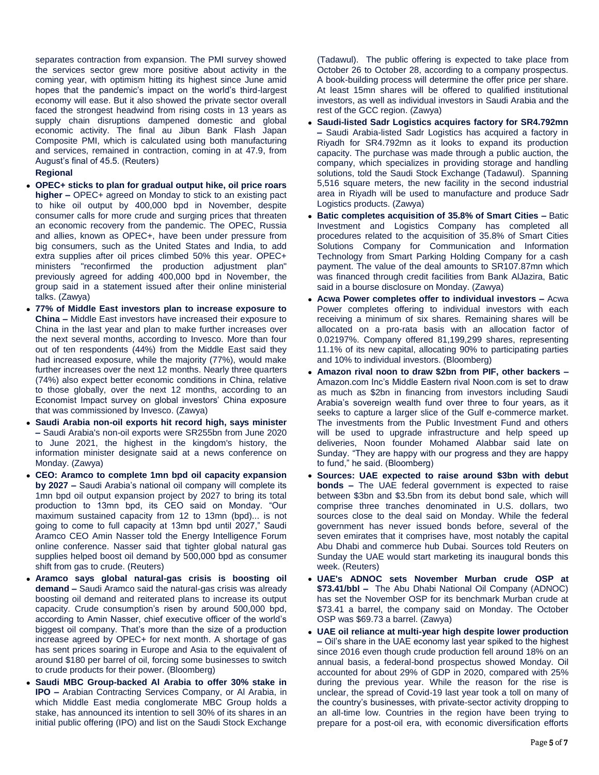separates contraction from expansion. The PMI survey showed the services sector grew more positive about activity in the coming year, with optimism hitting its highest since June amid hopes that the pandemic's impact on the world's third-largest economy will ease. But it also showed the private sector overall faced the strongest headwind from rising costs in 13 years as supply chain disruptions dampened domestic and global economic activity. The final au Jibun Bank Flash Japan Composite PMI, which is calculated using both manufacturing and services, remained in contraction, coming in at 47.9, from August's final of 45.5. (Reuters)

#### **Regional**

- **OPEC+ sticks to plan for gradual output hike, oil price roars higher –** OPEC+ agreed on Monday to stick to an existing pact to hike oil output by 400,000 bpd in November, despite consumer calls for more crude and surging prices that threaten an economic recovery from the pandemic. The OPEC, Russia and allies, known as OPEC+, have been under pressure from big consumers, such as the United States and India, to add extra supplies after oil prices climbed 50% this year. OPEC+ ministers "reconfirmed the production adjustment plan" previously agreed for adding 400,000 bpd in November, the group said in a statement issued after their online ministerial talks. (Zawya)
- **77% of Middle East investors plan to increase exposure to China –** Middle East investors have increased their exposure to China in the last year and plan to make further increases over the next several months, according to Invesco. More than four out of ten respondents (44%) from the Middle East said they had increased exposure, while the majority (77%), would make further increases over the next 12 months. Nearly three quarters (74%) also expect better economic conditions in China, relative to those globally, over the next 12 months, according to an Economist Impact survey on global investors' China exposure that was commissioned by Invesco. (Zawya)
- **Saudi Arabia non-oil exports hit record high, says minister –** Saudi Arabia's non-oil exports were SR255bn from June 2020 to June 2021, the highest in the kingdom's history, the information minister designate said at a news conference on Monday. (Zawya)
- **CEO: Aramco to complete 1mn bpd oil capacity expansion by 2027 –** Saudi Arabia's national oil company will complete its 1mn bpd oil output expansion project by 2027 to bring its total production to 13mn bpd, its CEO said on Monday. "Our maximum sustained capacity from 12 to 13mn (bpd)... is not going to come to full capacity at 13mn bpd until 2027," Saudi Aramco CEO Amin Nasser told the Energy Intelligence Forum online conference. Nasser said that tighter global natural gas supplies helped boost oil demand by 500,000 bpd as consumer shift from gas to crude. (Reuters)
- **Aramco says global natural-gas crisis is boosting oil demand –** Saudi Aramco said the natural-gas crisis was already boosting oil demand and reiterated plans to increase its output capacity. Crude consumption's risen by around 500,000 bpd, according to Amin Nasser, chief executive officer of the world's biggest oil company. That's more than the size of a production increase agreed by OPEC+ for next month. A shortage of gas has sent prices soaring in Europe and Asia to the equivalent of around \$180 per barrel of oil, forcing some businesses to switch to crude products for their power. (Bloomberg)
- **Saudi MBC Group-backed Al Arabia to offer 30% stake in IPO –** Arabian Contracting Services Company, or Al Arabia, in which Middle East media conglomerate MBC Group holds a stake, has announced its intention to sell 30% of its shares in an initial public offering (IPO) and list on the Saudi Stock Exchange

(Tadawul). The public offering is expected to take place from October 26 to October 28, according to a company prospectus. A book-building process will determine the offer price per share. At least 15mn shares will be offered to qualified institutional investors, as well as individual investors in Saudi Arabia and the rest of the GCC region. (Zawya)

- **Saudi-listed Sadr Logistics acquires factory for SR4.792mn –** Saudi Arabia-listed Sadr Logistics has acquired a factory in Riyadh for SR4.792mn as it looks to expand its production capacity. The purchase was made through a public auction, the company, which specializes in providing storage and handling solutions, told the Saudi Stock Exchange (Tadawul). Spanning 5,516 square meters, the new facility in the second industrial area in Riyadh will be used to manufacture and produce Sadr Logistics products. (Zawya)
- **Batic completes acquisition of 35.8% of Smart Cities –** Batic Investment and Logistics Company has completed all procedures related to the acquisition of 35.8% of Smart Cities Solutions Company for Communication and Information Technology from Smart Parking Holding Company for a cash payment. The value of the deal amounts to SR107.87mn which was financed through credit facilities from Bank AlJazira, Batic said in a bourse disclosure on Monday. (Zawya)
- **Acwa Power completes offer to individual investors –** Acwa Power completes offering to individual investors with each receiving a minimum of six shares. Remaining shares will be allocated on a pro-rata basis with an allocation factor of 0.02197%. Company offered 81,199,299 shares, representing 11.1% of its new capital, allocating 90% to participating parties and 10% to individual investors. (Bloomberg)
- **Amazon rival noon to draw \$2bn from PIF, other backers –** Amazon.com Inc's Middle Eastern rival Noon.com is set to draw as much as \$2bn in financing from investors including Saudi Arabia's sovereign wealth fund over three to four years, as it seeks to capture a larger slice of the Gulf e-commerce market. The investments from the Public Investment Fund and others will be used to upgrade infrastructure and help speed up deliveries, Noon founder Mohamed Alabbar said late on Sunday. "They are happy with our progress and they are happy to fund," he said. (Bloomberg)
- **Sources: UAE expected to raise around \$3bn with debut bonds –** The UAE federal government is expected to raise between \$3bn and \$3.5bn from its debut bond sale, which will comprise three tranches denominated in U.S. dollars, two sources close to the deal said on Monday. While the federal government has never issued bonds before, several of the seven emirates that it comprises have, most notably the capital Abu Dhabi and commerce hub Dubai. Sources told Reuters on Sunday the UAE would start marketing its inaugural bonds this week. (Reuters)
- **UAE's ADNOC sets November Murban crude OSP at \$73.41/bbl –** The Abu Dhabi National Oil Company (ADNOC) has set the November OSP for its benchmark Murban crude at \$73.41 a barrel, the company said on Monday. The October OSP was \$69.73 a barrel. (Zawya)
- **UAE oil reliance at multi-year high despite lower production –** Oil's share in the UAE economy last year spiked to the highest since 2016 even though crude production fell around 18% on an annual basis, a federal-bond prospectus showed Monday. Oil accounted for about 29% of GDP in 2020, compared with 25% during the previous year. While the reason for the rise is unclear, the spread of Covid-19 last year took a toll on many of the country's businesses, with private-sector activity dropping to an all-time low. Countries in the region have been trying to prepare for a post-oil era, with economic diversification efforts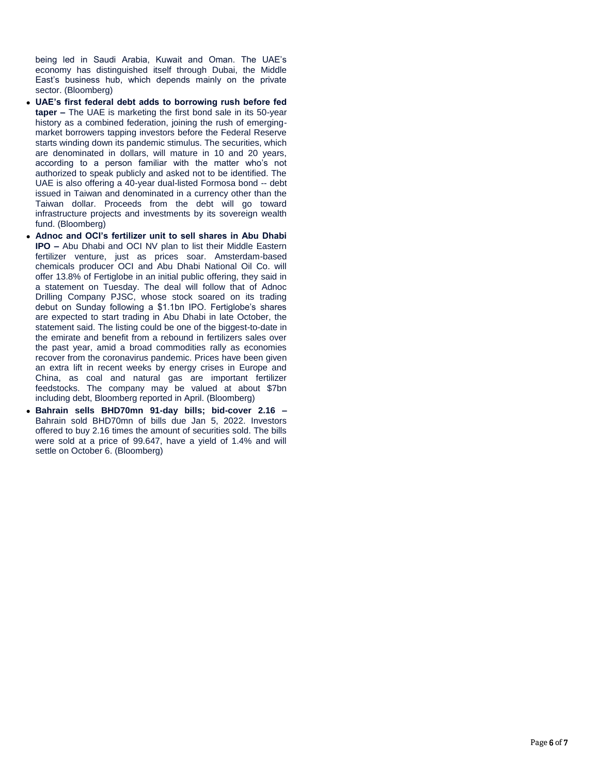being led in Saudi Arabia, Kuwait and Oman. The UAE's economy has distinguished itself through Dubai, the Middle East's business hub, which depends mainly on the private sector. (Bloomberg)

- **UAE's first federal debt adds to borrowing rush before fed taper –** The UAE is marketing the first bond sale in its 50-year history as a combined federation, joining the rush of emergingmarket borrowers tapping investors before the Federal Reserve starts winding down its pandemic stimulus. The securities, which are denominated in dollars, will mature in 10 and 20 years, according to a person familiar with the matter who's not authorized to speak publicly and asked not to be identified. The UAE is also offering a 40-year dual-listed Formosa bond -- debt issued in Taiwan and denominated in a currency other than the Taiwan dollar. Proceeds from the debt will go toward infrastructure projects and investments by its sovereign wealth fund. (Bloomberg)
- **Adnoc and OCI's fertilizer unit to sell shares in Abu Dhabi IPO –** Abu Dhabi and OCI NV plan to list their Middle Eastern fertilizer venture, just as prices soar. Amsterdam-based chemicals producer OCI and Abu Dhabi National Oil Co. will offer 13.8% of Fertiglobe in an initial public offering, they said in a statement on Tuesday. The deal will follow that of Adnoc Drilling Company PJSC, whose stock soared on its trading debut on Sunday following a \$1.1bn IPO. Fertiglobe's shares are expected to start trading in Abu Dhabi in late October, the statement said. The listing could be one of the biggest-to-date in the emirate and benefit from a rebound in fertilizers sales over the past year, amid a broad commodities rally as economies recover from the coronavirus pandemic. Prices have been given an extra lift in recent weeks by energy crises in Europe and China, as coal and natural gas are important fertilizer feedstocks. The company may be valued at about \$7bn including debt, Bloomberg reported in April. (Bloomberg)
- **Bahrain sells BHD70mn 91-day bills; bid-cover 2.16 –** Bahrain sold BHD70mn of bills due Jan 5, 2022. Investors offered to buy 2.16 times the amount of securities sold. The bills were sold at a price of 99.647, have a yield of 1.4% and will settle on October 6. (Bloomberg)